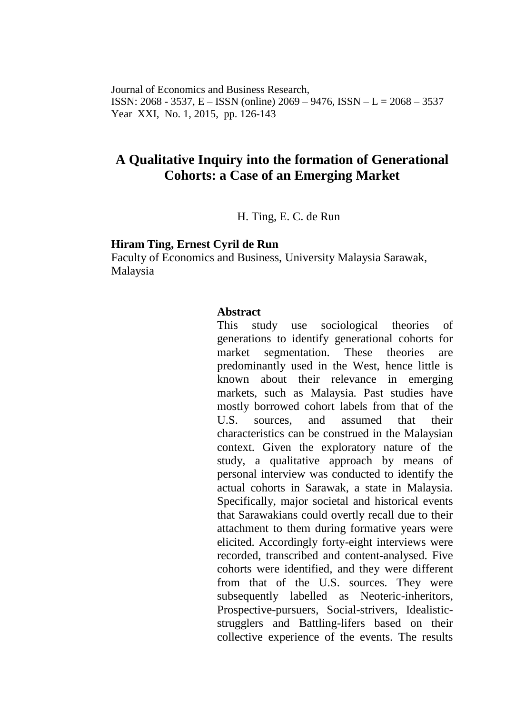Journal of Economics and Business Research, ISSN: 2068 - 3537, E – ISSN (online) 2069 – 9476, ISSN – L = 2068 – 3537 Year XXI, No. 1, 2015, pp. 126-143

# **A Qualitative Inquiry into the formation of Generational Cohorts: a Case of an Emerging Market**

H. Ting, E. C. de Run

#### **Hiram Ting, Ernest Cyril de Run**

Faculty of Economics and Business, University Malaysia Sarawak, Malaysia

#### **Abstract**

This study use sociological theories of generations to identify generational cohorts for market segmentation. These theories are predominantly used in the West, hence little is known about their relevance in emerging markets, such as Malaysia. Past studies have mostly borrowed cohort labels from that of the U.S. sources, and assumed that their characteristics can be construed in the Malaysian context. Given the exploratory nature of the study, a qualitative approach by means of personal interview was conducted to identify the actual cohorts in Sarawak, a state in Malaysia. Specifically, major societal and historical events that Sarawakians could overtly recall due to their attachment to them during formative years were elicited. Accordingly forty-eight interviews were recorded, transcribed and content-analysed. Five cohorts were identified, and they were different from that of the U.S. sources. They were subsequently labelled as Neoteric-inheritors, Prospective-pursuers, Social-strivers, Idealisticstrugglers and Battling-lifers based on their collective experience of the events. The results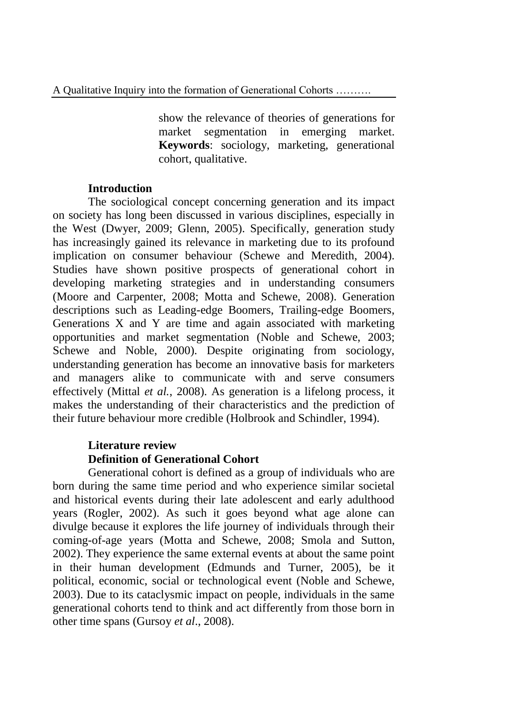show the relevance of theories of generations for market segmentation in emerging market. **Keywords**: sociology, marketing, generational cohort, qualitative.

## **Introduction**

The sociological concept concerning generation and its impact on society has long been discussed in various disciplines, especially in the West [\(Dwyer, 2009;](#page-14-0) [Glenn, 2005\)](#page-14-1). Specifically, generation study has increasingly gained its relevance in marketing due to its profound implication on consumer behaviour (Schewe and [Meredith, 2004\)](#page-16-0). Studies have shown positive prospects of generational cohort in developing marketing strategies and in understanding consumers (Moore and [Carpenter, 2008;](#page-15-0) Motta and [Schewe, 2008\)](#page-15-1). Generation descriptions such as Leading-edge Boomers, Trailing-edge Boomers, Generations X and Y are time and again associated with marketing opportunities and market segmentation (Noble and [Schewe, 2003;](#page-15-2) Schewe and [Noble, 2000\)](#page-16-1). Despite originating from sociology, understanding generation has become an innovative basis for marketers and managers alike to communicate with and serve consumers effectively (Mittal *et al.*[, 2008\)](#page-15-3). As generation is a lifelong process, it makes the understanding of their characteristics and the prediction of their future behaviour more credible (Holbrook and Schindler, 1994).

# **Literature review Definition of Generational Cohort**

Generational cohort is defined as a group of individuals who are born during the same time period and who experience similar societal and historical events during their late adolescent and early adulthood years [\(Rogler, 2002\)](#page-16-2). As such it goes beyond what age alone can divulge because it explores the life journey of individuals through their coming-of-age years (Motta and [Schewe, 2008;](#page-15-1) [Smola and](#page-16-3) Sutton, [2002\)](#page-16-3). They experience the same external events at about the same point in their human development [\(Edmunds and](#page-14-2) Turner, 2005), be it political, economic, social or technological event [\(Noble and](#page-15-2) Schewe, [2003\)](#page-15-2). Due to its cataclysmic impact on people, individuals in the same generational cohorts tend to think and act differently from those born in other time spans [\(Gursoy](#page-14-3) *et al*., 2008).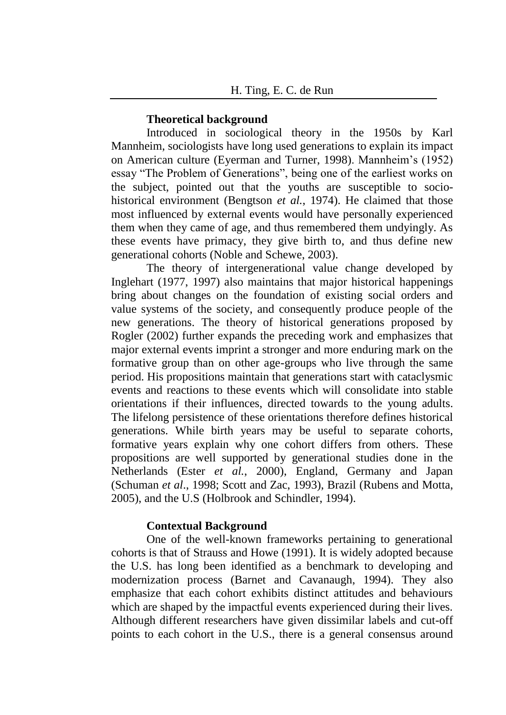#### **Theoretical background**

Introduced in sociological theory in the 1950s by Karl Mannheim, sociologists have long used generations to explain its impact on American culture [\(Eyerman and](#page-14-4) Turner, 1998). Mannheim's (1952) essay "The Problem of Generations", being one of the earliest works on the subject, pointed out that the youths are susceptible to sociohistorical environment [\(Bengtson](#page-13-0) *et al.*, 1974). He claimed that those most influenced by external events would have personally experienced them when they came of age, and thus remembered them undyingly. As these events have primacy, they give birth to, and thus define new generational cohorts (Noble and [Schewe, 2003\)](#page-15-2).

The theory of intergenerational value change developed by Inglehart (1977, 1997) also maintains that major historical happenings bring about changes on the foundation of existing social orders and value systems of the society, and consequently produce people of the new generations. The theory of historical generations proposed by Rogler (2002) further expands the preceding work and emphasizes that major external events imprint a stronger and more enduring mark on the formative group than on other age-groups who live through the same period. His propositions maintain that generations start with cataclysmic events and reactions to these events which will consolidate into stable orientations if their influences, directed towards to the young adults. The lifelong persistence of these orientations therefore defines historical generations. While birth years may be useful to separate cohorts, formative years explain why one cohort differs from others. These propositions are well supported by generational studies done in the Netherlands (Ester *et al.*[, 2000\)](#page-14-5), England, Germany and Japan [\(Schuman](#page-16-4) *et al*., 1998; Scott and [Zac, 1993\)](#page-16-5), Brazil [\(Rubens and](#page-16-6) Motta, [2005\)](#page-16-6), and the U.S (Holbrook and Schindler, 1994).

#### **Contextual Background**

One of the well-known frameworks pertaining to generational cohorts is that of Strauss and Howe (1991). It is widely adopted because the U.S. has long been identified as a benchmark to developing and modernization process (Barnet and Cavanaugh, 1994). They also emphasize that each cohort exhibits distinct attitudes and behaviours which are shaped by the impactful events experienced during their lives. Although different researchers have given dissimilar labels and cut-off points to each cohort in the U.S., there is a general consensus around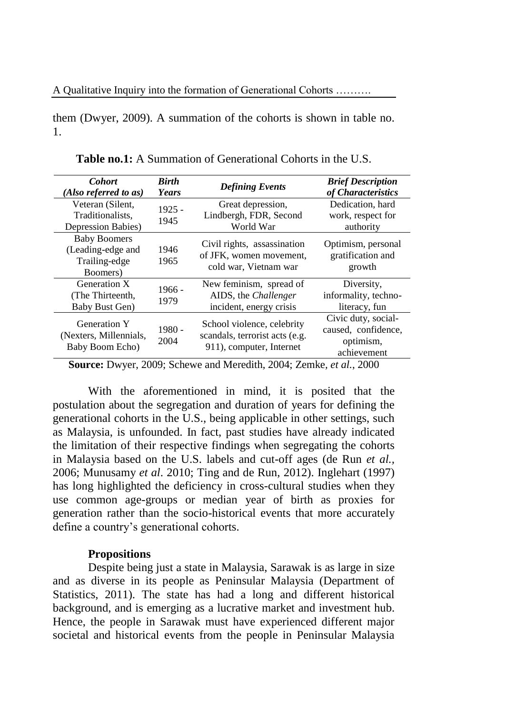them [\(Dwyer, 2009\)](#page-14-0). A summation of the cohorts is shown in table no. 1.

| <b>Cohort</b><br>(Also referred to as)                                | <b>Birth</b><br>Years | <b>Defining Events</b>                                                                   | <b>Brief Description</b><br>of Characteristics                         |
|-----------------------------------------------------------------------|-----------------------|------------------------------------------------------------------------------------------|------------------------------------------------------------------------|
| Veteran (Silent,<br>Traditionalists,<br>Depression Babies)            | $1925 -$<br>1945      | Great depression,<br>Lindbergh, FDR, Second<br>World War                                 | Dedication, hard<br>work, respect for<br>authority                     |
| <b>Baby Boomers</b><br>(Leading-edge and<br>Trailing-edge<br>Boomers) | 1946<br>1965          | Civil rights, assassination<br>of JFK, women movement,<br>cold war, Vietnam war          | Optimism, personal<br>gratification and<br>growth                      |
| Generation X<br>(The Thirteenth,<br>Baby Bust Gen)                    | $1966 -$<br>1979      | New feminism, spread of<br>AIDS, the <i>Challenger</i><br>incident, energy crisis        | Diversity,<br>informality, techno-<br>literacy, fun                    |
| <b>Generation Y</b><br>(Nexters, Millennials,<br>Baby Boom Echo)      | $1980 -$<br>2004      | School violence, celebrity<br>scandals, terrorist acts (e.g.<br>911), computer, Internet | Civic duty, social-<br>caused, confidence,<br>optimism,<br>achievement |

**Table no.1:** A Summation of Generational Cohorts in the U.S.

**Source:** [Dwyer, 2009;](#page-14-0) Schewe and [Meredith, 2004;](#page-16-0) Zemke*, et al.*, 2000

With the aforementioned in mind, it is posited that the postulation about the segregation and duration of years for defining the generational cohorts in the U.S., being applicable in other settings, such as Malaysia, is unfounded. In fact, past studies have already indicated the limitation of their respective findings when segregating the cohorts in Malaysia based on the U.S. labels and cut-off ages (de Run *et al.,* 2006; Munusamy *et al*. 2010; Ting and de Run, 2012). Inglehart (1997) has long highlighted the deficiency in cross-cultural studies when they use common age-groups or median year of birth as proxies for generation rather than the socio-historical events that more accurately define a country's generational cohorts.

#### **Propositions**

Despite being just a state in Malaysia, Sarawak is as large in size and as diverse in its people as Peninsular Malaysia (Department of Statistics, 2011). The state has had a long and different historical background, and is emerging as a lucrative market and investment hub. Hence, the people in Sarawak must have experienced different major societal and historical events from the people in Peninsular Malaysia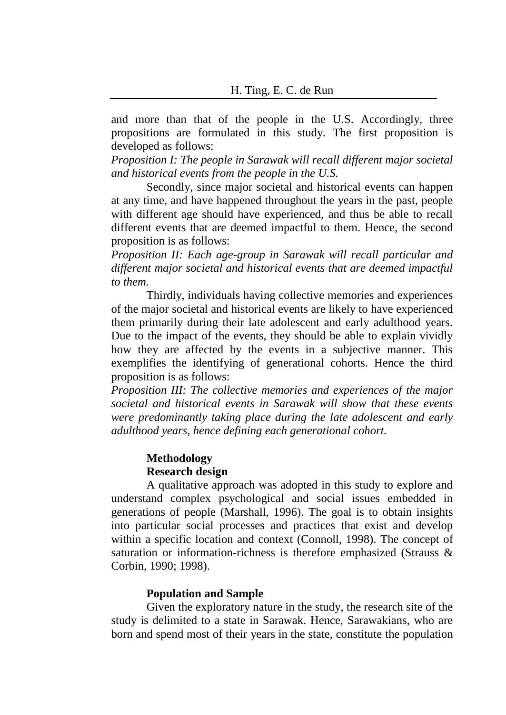and more than that of the people in the U.S. Accordingly, three propositions are formulated in this study. The first proposition is developed as follows:

*Proposition I: The people in Sarawak will recall different major societal and historical events from the people in the U.S.*

Secondly, since major societal and historical events can happen at any time, and have happened throughout the years in the past, people with different age should have experienced, and thus be able to recall different events that are deemed impactful to them. Hence, the second proposition is as follows:

*Proposition II: Each age-group in Sarawak will recall particular and different major societal and historical events that are deemed impactful to them.*

Thirdly, individuals having collective memories and experiences of the major societal and historical events are likely to have experienced them primarily during their late adolescent and early adulthood years. Due to the impact of the events, they should be able to explain vividly how they are affected by the events in a subjective manner. This exemplifies the identifying of generational cohorts. Hence the third proposition is as follows:

*Proposition III: The collective memories and experiences of the major societal and historical events in Sarawak will show that these events were predominantly taking place during the late adolescent and early adulthood years, hence defining each generational cohort.*

# **Methodology Research design**

A qualitative approach was adopted in this study to explore and understand complex psychological and social issues embedded in generations of people [\(Marshall, 1996\)](#page-15-4). The goal is to obtain insights into particular social processes and practices that exist and develop within a specific location and context (Connoll, 1998). The concept of saturation or information-richness is therefore emphasized (Strauss & Corbin, 1990; 1998).

## **Population and Sample**

Given the exploratory nature in the study, the research site of the study is delimited to a state in Sarawak. Hence, Sarawakians, who are born and spend most of their years in the state, constitute the population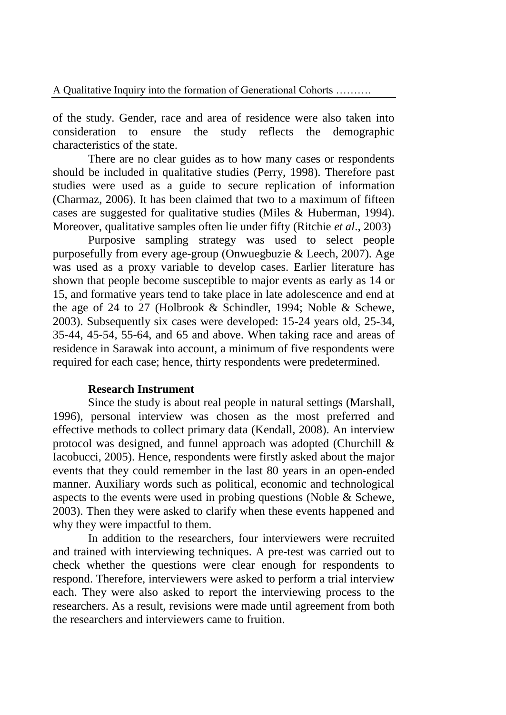of the study. Gender, race and area of residence were also taken into consideration to ensure the study reflects the demographic characteristics of the state.

There are no clear guides as to how many cases or respondents should be included in qualitative studies [\(Perry, 1998\)](#page-15-5). Therefore past studies were used as a guide to secure replication of information [\(Charmaz, 2006\)](#page-14-6). It has been claimed that two to a maximum of fifteen cases are suggested for qualitative studies (Miles & Huberman, 1994). Moreover, qualitative samples often lie under fifty (Ritchie *et al*., 2003)

Purposive sampling strategy was used to select people purposefully from every age-group [\(Onwuegbuzie & Leech, 2007\)](#page-15-6). Age was used as a proxy variable to develop cases. Earlier literature has shown that people become susceptible to major events as early as 14 or 15, and formative years tend to take place in late adolescence and end at the age of 24 to 27 (Holbrook & Schindler, 1994; [Noble & Schewe,](#page-15-2)  [2003\)](#page-15-2). Subsequently six cases were developed: 15-24 years old, 25-34, 35-44, 45-54, 55-64, and 65 and above. When taking race and areas of residence in Sarawak into account, a minimum of five respondents were required for each case; hence, thirty respondents were predetermined.

#### **Research Instrument**

Since the study is about real people in natural settings [\(Marshall,](#page-15-4)  [1996\)](#page-15-4), personal interview was chosen as the most preferred and effective methods to collect primary data [\(Kendall, 2008\)](#page-15-7). An interview protocol was designed, and funnel approach was adopted [\(Churchill &](#page-14-7)  [Iacobucci, 2005\)](#page-14-7). Hence, respondents were firstly asked about the major events that they could remember in the last 80 years in an open-ended manner. Auxiliary words such as political, economic and technological aspects to the events were used in probing questions [\(Noble & Schewe,](#page-15-2)  [2003\)](#page-15-2). Then they were asked to clarify when these events happened and why they were impactful to them.

In addition to the researchers, four interviewers were recruited and trained with interviewing techniques. A pre-test was carried out to check whether the questions were clear enough for respondents to respond. Therefore, interviewers were asked to perform a trial interview each. They were also asked to report the interviewing process to the researchers. As a result, revisions were made until agreement from both the researchers and interviewers came to fruition.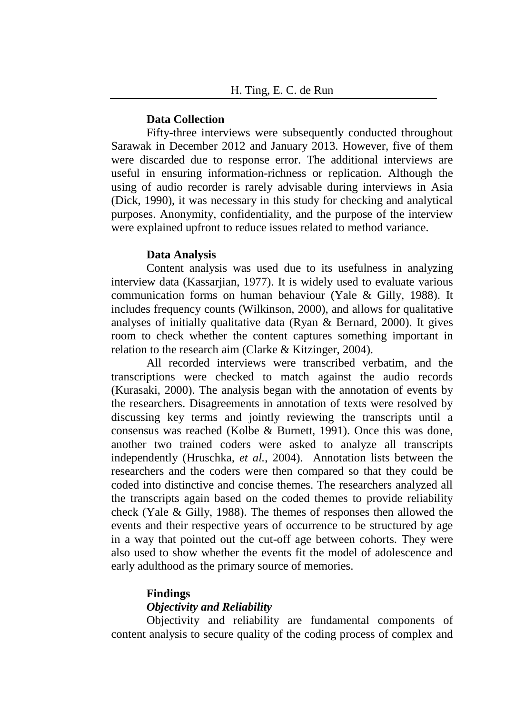#### **Data Collection**

Fifty-three interviews were subsequently conducted throughout Sarawak in December 2012 and January 2013. However, five of them were discarded due to response error. The additional interviews are useful in ensuring information-richness or replication. Although the using of audio recorder is rarely advisable during interviews in Asia [\(Dick, 1990\)](#page-14-8), it was necessary in this study for checking and analytical purposes. Anonymity, confidentiality, and the purpose of the interview were explained upfront to reduce issues related to method variance.

#### **Data Analysis**

Content analysis was used due to its usefulness in analyzing interview data [\(Kassarjian, 1977\)](#page-15-8). It is widely used to evaluate various communication forms on human behaviour [\(Yale & Gilly, 1988\)](#page-17-0). It includes frequency counts [\(Wilkinson, 2000\)](#page-17-1), and allows for qualitative analyses of initially qualitative data [\(Ryan & Bernard, 2000\)](#page-16-7). It gives room to check whether the content captures something important in relation to the research aim (Clarke & Kitzinger, 2004).

All recorded interviews were transcribed verbatim, and the transcriptions were checked to match against the audio records [\(Kurasaki, 2000\)](#page-15-9). The analysis began with the annotation of events by the researchers. Disagreements in annotation of texts were resolved by discussing key terms and jointly reviewing the transcripts until a consensus was reached (Kolbe & Burnett, 1991). Once this was done, another two trained coders were asked to analyze all transcripts independently [\(Hruschka](#page-14-9)*, et al.*, 2004). Annotation lists between the researchers and the coders were then compared so that they could be coded into distinctive and concise themes. The researchers analyzed all the transcripts again based on the coded themes to provide reliability check [\(Yale & Gilly, 1988\)](#page-17-0). The themes of responses then allowed the events and their respective years of occurrence to be structured by age in a way that pointed out the cut-off age between cohorts. They were also used to show whether the events fit the model of adolescence and early adulthood as the primary source of memories.

#### **Findings**

### *Objectivity and Reliability*

Objectivity and reliability are fundamental components of content analysis to secure quality of the coding process of complex and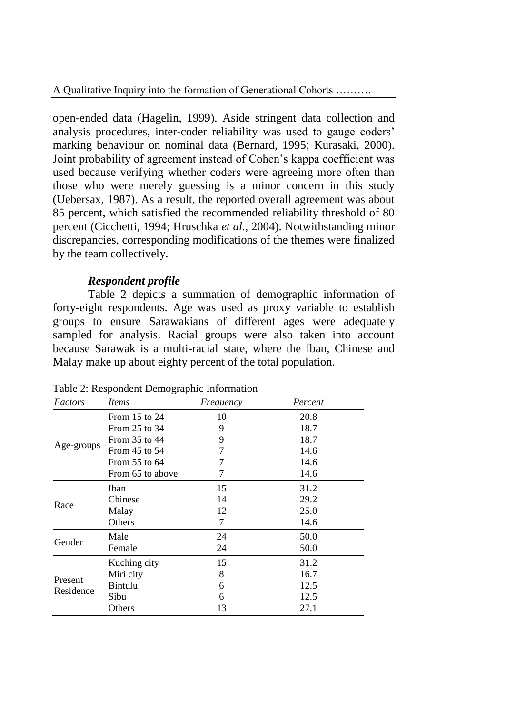open-ended data [\(Hagelin, 1999\)](#page-14-10). Aside stringent data collection and analysis procedures, inter-coder reliability was used to gauge coders' marking behaviour on nominal data (Bernard, 1995; [Kurasaki, 2000\)](#page-15-9). Joint probability of agreement instead of Cohen's kappa coefficient was used because verifying whether coders were agreeing more often than those who were merely guessing is a minor concern in this study [\(Uebersax, 1987\)](#page-16-8). As a result, the reported overall agreement was about 85 percent, which satisfied the recommended reliability threshold of 80 percent [\(Cicchetti, 1994;](#page-14-11) [Hruschka](#page-14-9) *et al.*, 2004). Notwithstanding minor discrepancies, corresponding modifications of the themes were finalized by the team collectively.

# *Respondent profile*

Table 2 depicts a summation of demographic information of forty-eight respondents. Age was used as proxy variable to establish groups to ensure Sarawakians of different ages were adequately sampled for analysis. Racial groups were also taken into account because Sarawak is a multi-racial state, where the Iban, Chinese and Malay make up about eighty percent of the total population.

| Factors                                                           | <i>Items</i>      | Frequency                                                                                           | Percent |  |
|-------------------------------------------------------------------|-------------------|-----------------------------------------------------------------------------------------------------|---------|--|
| Age-groups                                                        | From $15$ to $24$ | 10                                                                                                  | 20.8    |  |
|                                                                   | From 25 to 34     | 9                                                                                                   | 18.7    |  |
|                                                                   | From 35 to 44     | 9                                                                                                   | 18.7    |  |
|                                                                   | From 45 to 54     | 7                                                                                                   | 14.6    |  |
|                                                                   | From 55 to 64     | 7                                                                                                   | 14.6    |  |
|                                                                   | From 65 to above  | 7                                                                                                   | 14.6    |  |
| 15<br>Iban<br>Chinese<br>14<br>Race<br>Malay<br>12<br>7<br>Others |                   |                                                                                                     | 31.2    |  |
|                                                                   |                   | 29.2                                                                                                |         |  |
|                                                                   |                   |                                                                                                     | 25.0    |  |
|                                                                   |                   | 14.6<br>24<br>50.0<br>50.0<br>24<br>15<br>31.2<br>8<br>16.7<br>12.5<br>6<br>12.5<br>6<br>13<br>27.1 |         |  |
|                                                                   | Male              |                                                                                                     |         |  |
| Gender                                                            | Female            |                                                                                                     |         |  |
| Present<br>Residence                                              | Kuching city      |                                                                                                     |         |  |
|                                                                   | Miri city         |                                                                                                     |         |  |
|                                                                   | Bintulu           |                                                                                                     |         |  |
|                                                                   | Sibu              |                                                                                                     |         |  |
|                                                                   | Others            |                                                                                                     |         |  |

Table 2: Respondent Demographic Information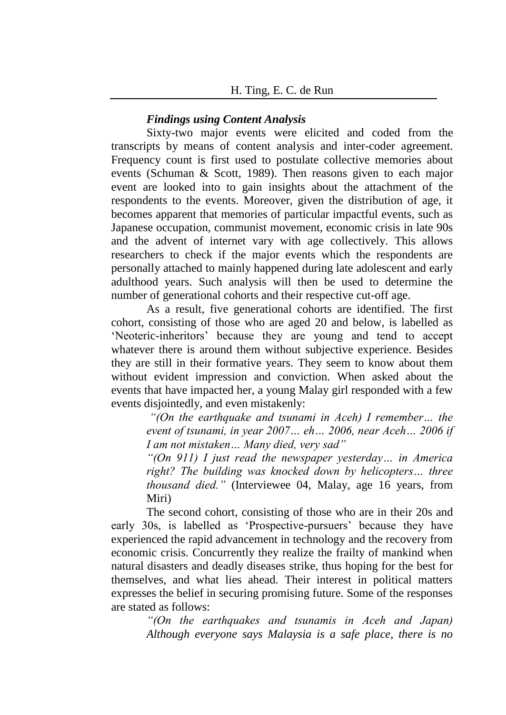### *Findings using Content Analysis*

Sixty-two major events were elicited and coded from the transcripts by means of content analysis and inter-coder agreement. Frequency count is first used to postulate collective memories about events (Schuman & Scott, 1989). Then reasons given to each major event are looked into to gain insights about the attachment of the respondents to the events. Moreover, given the distribution of age, it becomes apparent that memories of particular impactful events, such as Japanese occupation, communist movement, economic crisis in late 90s and the advent of internet vary with age collectively. This allows researchers to check if the major events which the respondents are personally attached to mainly happened during late adolescent and early adulthood years. Such analysis will then be used to determine the number of generational cohorts and their respective cut-off age.

As a result, five generational cohorts are identified. The first cohort, consisting of those who are aged 20 and below, is labelled as 'Neoteric-inheritors' because they are young and tend to accept whatever there is around them without subjective experience. Besides they are still in their formative years. They seem to know about them without evident impression and conviction. When asked about the events that have impacted her, a young Malay girl responded with a few events disjointedly, and even mistakenly:

*"(On the earthquake and tsunami in Aceh) I remember… the event of tsunami, in year 2007… eh… 2006, near Aceh… 2006 if I am not mistaken… Many died, very sad"*

*"(On 911) I just read the newspaper yesterday… in America right? The building was knocked down by helicopters… three thousand died."* (Interviewee 04, Malay, age 16 years, from Miri)

The second cohort, consisting of those who are in their 20s and early 30s, is labelled as 'Prospective-pursuers' because they have experienced the rapid advancement in technology and the recovery from economic crisis. Concurrently they realize the frailty of mankind when natural disasters and deadly diseases strike, thus hoping for the best for themselves, and what lies ahead. Their interest in political matters expresses the belief in securing promising future. Some of the responses are stated as follows:

*"(On the earthquakes and tsunamis in Aceh and Japan) Although everyone says Malaysia is a safe place, there is no*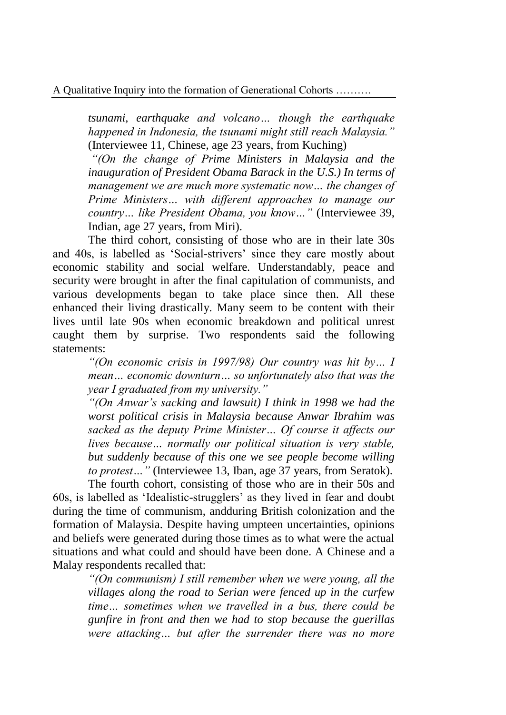*tsunami, earthquake and volcano… though the earthquake happened in Indonesia, the tsunami might still reach Malaysia."*  (Interviewee 11, Chinese, age 23 years, from Kuching)

*"(On the change of Prime Ministers in Malaysia and the inauguration of President Obama Barack in the U.S.) In terms of management we are much more systematic now… the changes of Prime Ministers… with different approaches to manage our country… like President Obama, you know…"* (Interviewee 39, Indian, age 27 years, from Miri).

The third cohort, consisting of those who are in their late 30s and 40s, is labelled as 'Social-strivers' since they care mostly about economic stability and social welfare. Understandably, peace and security were brought in after the final capitulation of communists, and various developments began to take place since then. All these enhanced their living drastically. Many seem to be content with their lives until late 90s when economic breakdown and political unrest caught them by surprise. Two respondents said the following statements:

> *"(On economic crisis in 1997/98) Our country was hit by… I mean… economic downturn… so unfortunately also that was the year I graduated from my university."*

> *"(On Anwar's sacking and lawsuit) I think in 1998 we had the worst political crisis in Malaysia because Anwar Ibrahim was sacked as the deputy Prime Minister… Of course it affects our lives because… normally our political situation is very stable, but suddenly because of this one we see people become willing to protest…"* (Interviewee 13, Iban, age 37 years, from Seratok).

The fourth cohort, consisting of those who are in their 50s and 60s, is labelled as 'Idealistic-strugglers' as they lived in fear and doubt during the time of communism, andduring British colonization and the formation of Malaysia. Despite having umpteen uncertainties, opinions and beliefs were generated during those times as to what were the actual situations and what could and should have been done. A Chinese and a Malay respondents recalled that:

> *"(On communism) I still remember when we were young, all the villages along the road to Serian were fenced up in the curfew time… sometimes when we travelled in a bus, there could be gunfire in front and then we had to stop because the guerillas were attacking… but after the surrender there was no more*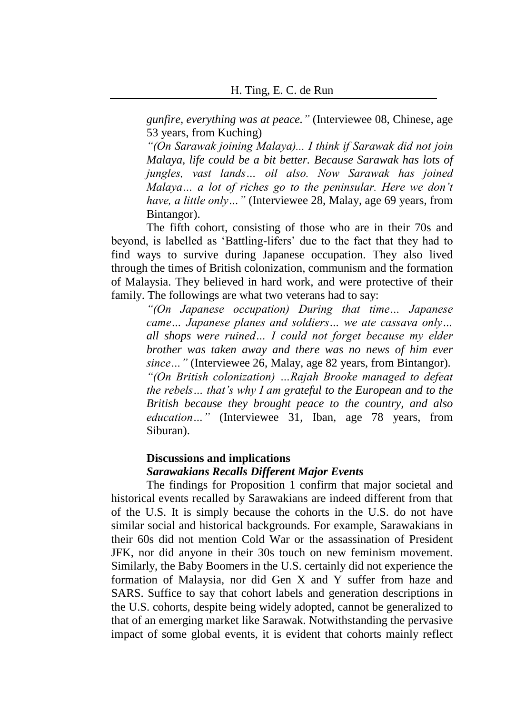*gunfire, everything was at peace."* (Interviewee 08, Chinese, age 53 years, from Kuching)

*"(On Sarawak joining Malaya)... I think if Sarawak did not join Malaya, life could be a bit better. Because Sarawak has lots of jungles, vast lands… oil also. Now Sarawak has joined Malaya… a lot of riches go to the peninsular. Here we don't have, a little only…"* (Interviewee 28, Malay, age 69 years, from Bintangor).

The fifth cohort, consisting of those who are in their 70s and beyond, is labelled as 'Battling-lifers' due to the fact that they had to find ways to survive during Japanese occupation. They also lived through the times of British colonization, communism and the formation of Malaysia. They believed in hard work, and were protective of their family. The followings are what two veterans had to say:

*"(On Japanese occupation) During that time… Japanese came… Japanese planes and soldiers… we ate cassava only… all shops were ruined… I could not forget because my elder brother was taken away and there was no news of him ever since…"* (Interviewee 26, Malay, age 82 years, from Bintangor). *"(On British colonization) …Rajah Brooke managed to defeat the rebels… that's why I am grateful to the European and to the British because they brought peace to the country, and also education…"* (Interviewee 31, Iban, age 78 years, from Siburan).

## **Discussions and implications**  *Sarawakians Recalls Different Major Events*

The findings for Proposition 1 confirm that major societal and historical events recalled by Sarawakians are indeed different from that of the U.S. It is simply because the cohorts in the U.S. do not have similar social and historical backgrounds. For example, Sarawakians in their 60s did not mention Cold War or the assassination of President JFK, nor did anyone in their 30s touch on new feminism movement. Similarly, the Baby Boomers in the U.S. certainly did not experience the formation of Malaysia, nor did Gen X and Y suffer from haze and SARS. Suffice to say that cohort labels and generation descriptions in the U.S. cohorts, despite being widely adopted, cannot be generalized to that of an emerging market like Sarawak. Notwithstanding the pervasive impact of some global events, it is evident that cohorts mainly reflect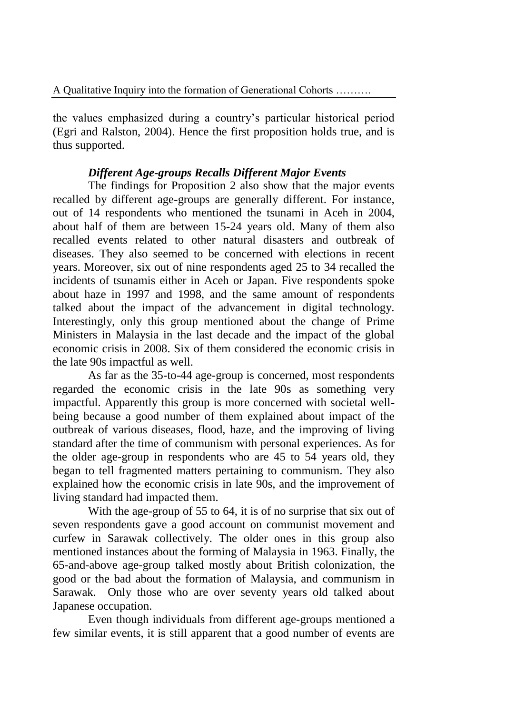the values emphasized during a country's particular historical period (Egri and Ralston, 2004). Hence the first proposition holds true, and is thus supported.

# *Different Age-groups Recalls Different Major Events*

The findings for Proposition 2 also show that the major events recalled by different age-groups are generally different. For instance, out of 14 respondents who mentioned the tsunami in Aceh in 2004, about half of them are between 15-24 years old. Many of them also recalled events related to other natural disasters and outbreak of diseases. They also seemed to be concerned with elections in recent years. Moreover, six out of nine respondents aged 25 to 34 recalled the incidents of tsunamis either in Aceh or Japan. Five respondents spoke about haze in 1997 and 1998, and the same amount of respondents talked about the impact of the advancement in digital technology. Interestingly, only this group mentioned about the change of Prime Ministers in Malaysia in the last decade and the impact of the global economic crisis in 2008. Six of them considered the economic crisis in the late 90s impactful as well.

As far as the 35-to-44 age-group is concerned, most respondents regarded the economic crisis in the late 90s as something very impactful. Apparently this group is more concerned with societal wellbeing because a good number of them explained about impact of the outbreak of various diseases, flood, haze, and the improving of living standard after the time of communism with personal experiences. As for the older age-group in respondents who are 45 to 54 years old, they began to tell fragmented matters pertaining to communism. They also explained how the economic crisis in late 90s, and the improvement of living standard had impacted them.

With the age-group of 55 to 64, it is of no surprise that six out of seven respondents gave a good account on communist movement and curfew in Sarawak collectively. The older ones in this group also mentioned instances about the forming of Malaysia in 1963. Finally, the 65-and-above age-group talked mostly about British colonization, the good or the bad about the formation of Malaysia, and communism in Sarawak. Only those who are over seventy years old talked about Japanese occupation.

Even though individuals from different age-groups mentioned a few similar events, it is still apparent that a good number of events are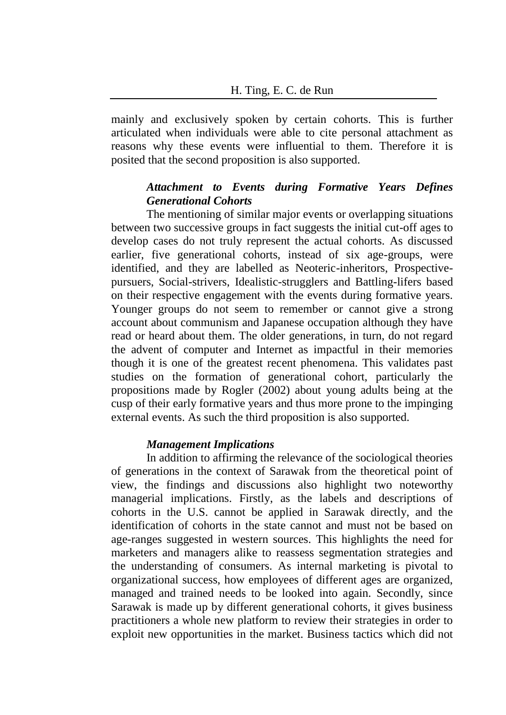mainly and exclusively spoken by certain cohorts. This is further articulated when individuals were able to cite personal attachment as reasons why these events were influential to them. Therefore it is posited that the second proposition is also supported.

## *Attachment to Events during Formative Years Defines Generational Cohorts*

The mentioning of similar major events or overlapping situations between two successive groups in fact suggests the initial cut-off ages to develop cases do not truly represent the actual cohorts. As discussed earlier, five generational cohorts, instead of six age-groups, were identified, and they are labelled as Neoteric-inheritors, Prospectivepursuers, Social-strivers, Idealistic-strugglers and Battling-lifers based on their respective engagement with the events during formative years. Younger groups do not seem to remember or cannot give a strong account about communism and Japanese occupation although they have read or heard about them. The older generations, in turn, do not regard the advent of computer and Internet as impactful in their memories though it is one of the greatest recent phenomena. This validates past studies on the formation of generational cohort, particularly the propositions made by Rogler (2002) about young adults being at the cusp of their early formative years and thus more prone to the impinging external events. As such the third proposition is also supported.

#### *Management Implications*

In addition to affirming the relevance of the sociological theories of generations in the context of Sarawak from the theoretical point of view, the findings and discussions also highlight two noteworthy managerial implications. Firstly, as the labels and descriptions of cohorts in the U.S. cannot be applied in Sarawak directly, and the identification of cohorts in the state cannot and must not be based on age-ranges suggested in western sources. This highlights the need for marketers and managers alike to reassess segmentation strategies and the understanding of consumers. As internal marketing is pivotal to organizational success, how employees of different ages are organized, managed and trained needs to be looked into again. Secondly, since Sarawak is made up by different generational cohorts, it gives business practitioners a whole new platform to review their strategies in order to exploit new opportunities in the market. Business tactics which did not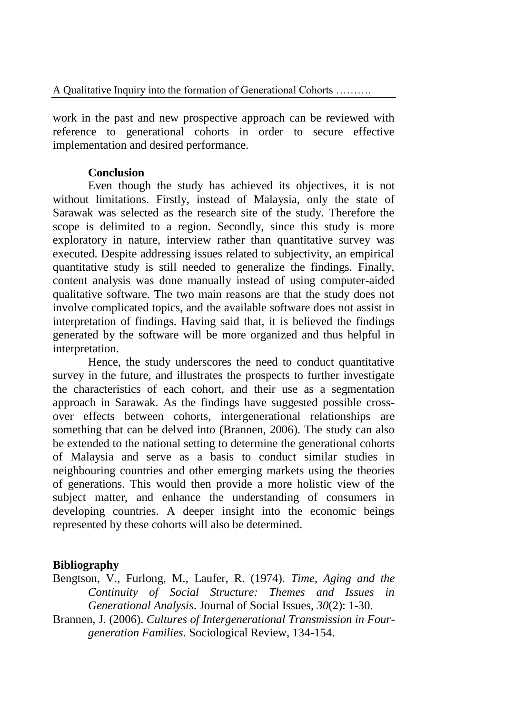work in the past and new prospective approach can be reviewed with reference to generational cohorts in order to secure effective implementation and desired performance.

## **Conclusion**

Even though the study has achieved its objectives, it is not without limitations. Firstly, instead of Malaysia, only the state of Sarawak was selected as the research site of the study. Therefore the scope is delimited to a region. Secondly, since this study is more exploratory in nature, interview rather than quantitative survey was executed. Despite addressing issues related to subjectivity, an empirical quantitative study is still needed to generalize the findings. Finally, content analysis was done manually instead of using computer-aided qualitative software. The two main reasons are that the study does not involve complicated topics, and the available software does not assist in interpretation of findings. Having said that, it is believed the findings generated by the software will be more organized and thus helpful in interpretation.

Hence, the study underscores the need to conduct quantitative survey in the future, and illustrates the prospects to further investigate the characteristics of each cohort, and their use as a segmentation approach in Sarawak. As the findings have suggested possible crossover effects between cohorts, intergenerational relationships are something that can be delved into [\(Brannen, 2006\)](#page-13-1). The study can also be extended to the national setting to determine the generational cohorts of Malaysia and serve as a basis to conduct similar studies in neighbouring countries and other emerging markets using the theories of generations. This would then provide a more holistic view of the subject matter, and enhance the understanding of consumers in developing countries. A deeper insight into the economic beings represented by these cohorts will also be determined.

## **Bibliography**

<span id="page-13-0"></span>Bengtson, V., Furlong, M., Laufer, R. (1974). *Time, Aging and the Continuity of Social Structure: Themes and Issues in Generational Analysis*. Journal of Social Issues*, 30*(2): 1-30.

<span id="page-13-1"></span>Brannen, J. (2006). *Cultures of Intergenerational Transmission in Fourgeneration Families*. Sociological Review, 134-154.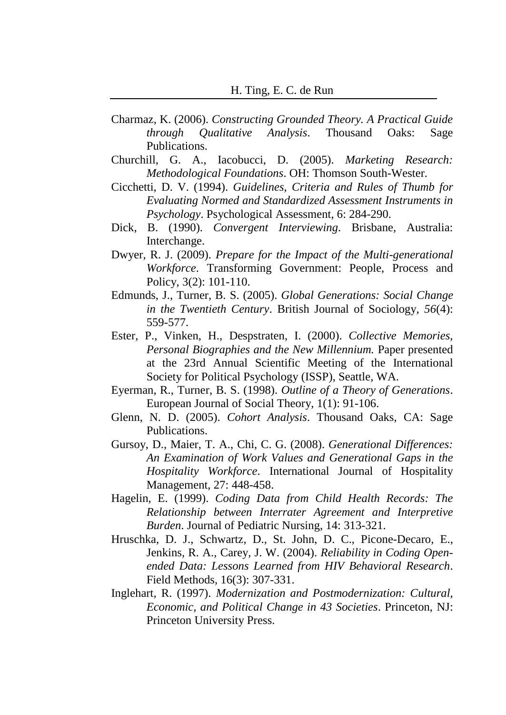- <span id="page-14-6"></span>Charmaz, K. (2006). *Constructing Grounded Theory. A Practical Guide through Qualitative Analysis*. Thousand Oaks: Sage Publications.
- <span id="page-14-7"></span>Churchill, G. A., Iacobucci, D. (2005). *Marketing Research: Methodological Foundations*. OH: Thomson South-Wester.
- <span id="page-14-11"></span>Cicchetti, D. V. (1994). *Guidelines, Criteria and Rules of Thumb for Evaluating Normed and Standardized Assessment Instruments in Psychology*. Psychological Assessment, 6: 284-290.
- <span id="page-14-8"></span>Dick, B. (1990). *Convergent Interviewing*. Brisbane, Australia: Interchange.
- <span id="page-14-0"></span>Dwyer, R. J. (2009). *Prepare for the Impact of the Multi-generational Workforce*. Transforming Government: People, Process and Policy, 3(2): 101-110.
- <span id="page-14-2"></span>Edmunds, J., Turner, B. S. (2005). *Global Generations: Social Change in the Twentieth Century*. British Journal of Sociology, *56*(4): 559-577.
- <span id="page-14-5"></span>Ester, P., Vinken, H., Despstraten, I. (2000). *Collective Memories, Personal Biographies and the New Millennium.* Paper presented at the 23rd Annual Scientific Meeting of the International Society for Political Psychology (ISSP), Seattle, WA.
- <span id="page-14-4"></span>Eyerman, R., Turner, B. S. (1998). *Outline of a Theory of Generations*. European Journal of Social Theory, 1(1): 91-106.
- <span id="page-14-1"></span>Glenn, N. D. (2005). *Cohort Analysis*. Thousand Oaks, CA: Sage Publications.
- <span id="page-14-3"></span>Gursoy, D., Maier, T. A., Chi, C. G. (2008). *Generational Differences: An Examination of Work Values and Generational Gaps in the Hospitality Workforce*. International Journal of Hospitality Management, 27: 448-458.
- <span id="page-14-10"></span>Hagelin, E. (1999). *Coding Data from Child Health Records: The Relationship between Interrater Agreement and Interpretive Burden*. Journal of Pediatric Nursing, 14: 313-321.
- <span id="page-14-9"></span>Hruschka, D. J., Schwartz, D., St. John, D. C., Picone-Decaro, E., Jenkins, R. A., Carey, J. W. (2004). *Reliability in Coding Openended Data: Lessons Learned from HIV Behavioral Research*. Field Methods, 16(3): 307-331.
- Inglehart, R. (1997). *Modernization and Postmodernization: Cultural, Economic, and Political Change in 43 Societies*. Princeton, NJ: Princeton University Press.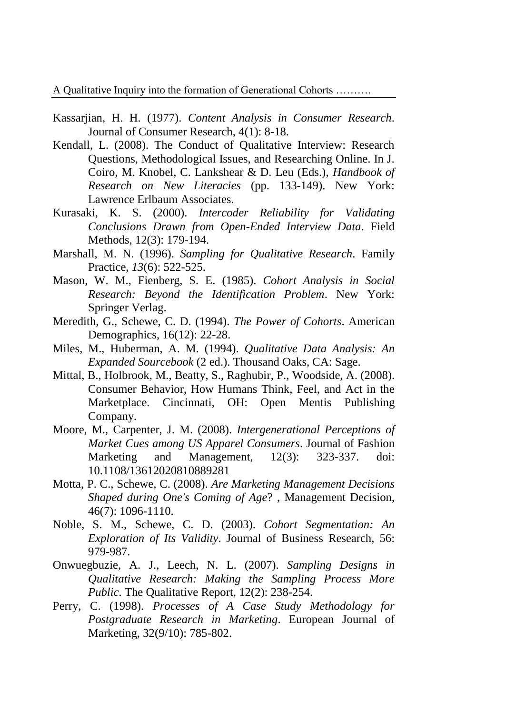- <span id="page-15-8"></span>Kassarjian, H. H. (1977). *Content Analysis in Consumer Research*. Journal of Consumer Research, 4(1): 8-18.
- <span id="page-15-7"></span>Kendall, L. (2008). The Conduct of Qualitative Interview: Research Questions, Methodological Issues, and Researching Online. In J. Coiro, M. Knobel, C. Lankshear & D. Leu (Eds.), *Handbook of Research on New Literacies* (pp. 133-149). New York: Lawrence Erlbaum Associates.
- <span id="page-15-9"></span>Kurasaki, K. S. (2000). *Intercoder Reliability for Validating Conclusions Drawn from Open-Ended Interview Data*. Field Methods, 12(3): 179-194.
- <span id="page-15-4"></span>Marshall, M. N. (1996). *Sampling for Qualitative Research*. Family Practice, *13*(6): 522-525.
- Mason, W. M., Fienberg, S. E. (1985). *Cohort Analysis in Social Research: Beyond the Identification Problem*. New York: Springer Verlag.
- Meredith, G., Schewe, C. D. (1994). *The Power of Cohorts*. American Demographics, 16(12): 22-28.
- Miles, M., Huberman, A. M. (1994). *Qualitative Data Analysis: An Expanded Sourcebook* (2 ed.). Thousand Oaks, CA: Sage.
- <span id="page-15-3"></span>Mittal, B., Holbrook, M., Beatty, S., Raghubir, P., Woodside, A. (2008). Consumer Behavior, How Humans Think, Feel, and Act in the Marketplace. Cincinnati, OH: Open Mentis Publishing Company.
- <span id="page-15-0"></span>Moore, M., Carpenter, J. M. (2008). *Intergenerational Perceptions of Market Cues among US Apparel Consumers*. Journal of Fashion Marketing and Management, 12(3): 323-337. doi: 10.1108/13612020810889281
- <span id="page-15-1"></span>Motta, P. C., Schewe, C. (2008). *Are Marketing Management Decisions Shaped during One's Coming of Age*? , Management Decision, 46(7): 1096-1110.
- <span id="page-15-2"></span>Noble, S. M., Schewe, C. D. (2003). *Cohort Segmentation: An Exploration of Its Validity*. Journal of Business Research, 56: 979-987.
- <span id="page-15-6"></span>Onwuegbuzie, A. J., Leech, N. L. (2007). *Sampling Designs in Qualitative Research: Making the Sampling Process More Public*. The Qualitative Report, 12(2): 238-254.
- <span id="page-15-5"></span>Perry, C. (1998). *Processes of A Case Study Methodology for Postgraduate Research in Marketing*. European Journal of Marketing, 32(9/10): 785-802.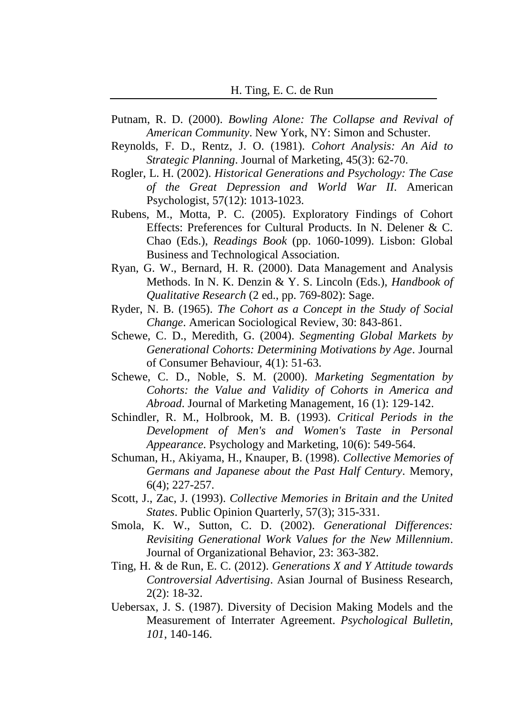- Putnam, R. D. (2000). *Bowling Alone: The Collapse and Revival of American Community*. New York, NY: Simon and Schuster.
- Reynolds, F. D., Rentz, J. O. (1981). *Cohort Analysis: An Aid to Strategic Planning*. Journal of Marketing, 45(3): 62-70.
- <span id="page-16-2"></span>Rogler, L. H. (2002). *Historical Generations and Psychology: The Case of the Great Depression and World War II*. American Psychologist, 57(12): 1013-1023.
- <span id="page-16-6"></span>Rubens, M., Motta, P. C. (2005). Exploratory Findings of Cohort Effects: Preferences for Cultural Products. In N. Delener & C. Chao (Eds.), *Readings Book* (pp. 1060-1099). Lisbon: Global Business and Technological Association.
- <span id="page-16-7"></span>Ryan, G. W., Bernard, H. R. (2000). Data Management and Analysis Methods. In N. K. Denzin & Y. S. Lincoln (Eds.), *Handbook of Qualitative Research* (2 ed., pp. 769-802): Sage.
- Ryder, N. B. (1965). *The Cohort as a Concept in the Study of Social Change*. American Sociological Review, 30: 843-861.
- <span id="page-16-0"></span>Schewe, C. D., Meredith, G. (2004). *Segmenting Global Markets by Generational Cohorts: Determining Motivations by Age*. Journal of Consumer Behaviour, 4(1): 51-63.
- <span id="page-16-1"></span>Schewe, C. D., Noble, S. M. (2000). *Marketing Segmentation by Cohorts: the Value and Validity of Cohorts in America and Abroad*. Journal of Marketing Management, 16 (1): 129-142.
- Schindler, R. M., Holbrook, M. B. (1993). *Critical Periods in the Development of Men's and Women's Taste in Personal Appearance*. Psychology and Marketing, 10(6): 549-564.
- <span id="page-16-4"></span>Schuman, H., Akiyama, H., Knauper, B. (1998). *Collective Memories of Germans and Japanese about the Past Half Century*. Memory, 6(4); 227-257.
- <span id="page-16-5"></span>Scott, J., Zac, J. (1993). *Collective Memories in Britain and the United States*. Public Opinion Quarterly, 57(3); 315-331.
- <span id="page-16-3"></span>Smola, K. W., Sutton, C. D. (2002). *Generational Differences: Revisiting Generational Work Values for the New Millennium*. Journal of Organizational Behavior, 23: 363-382.
- <span id="page-16-8"></span>Ting, H. & de Run, E. C. (2012). *Generations X and Y Attitude towards Controversial Advertising*. Asian Journal of Business Research, 2(2): 18-32.
- Uebersax, J. S. (1987). Diversity of Decision Making Models and the Measurement of Interrater Agreement. *Psychological Bulletin, 101*, 140-146.